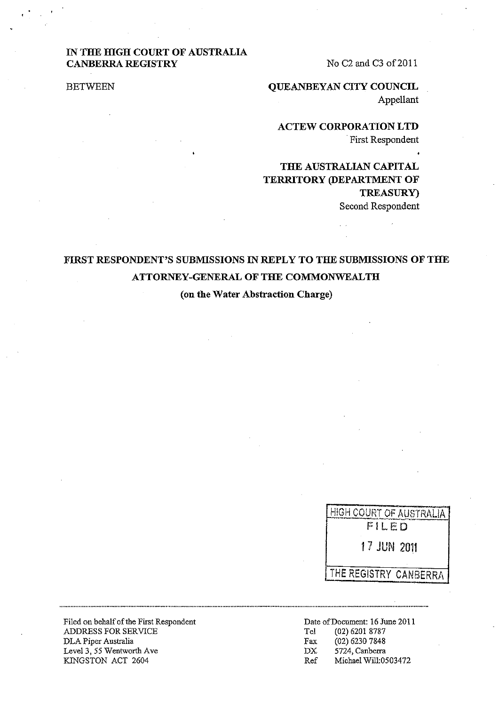## **IN THE HIGH COURT OF AUSTRALIA CANBERRA REGISTRY**

No C<sub>2</sub> and C<sub>3</sub> of 2011

BETWEEN

**QUEANBEYAN CITY COUNCIL**  Appellant

**ACTEW CORPORATION LTD**  . First Respondent

## **THE AUSTRALIAN CAPITAL TERRITORY (DEPARTMENT OF TREASURy)**  Second Respondent

# **FIRST RESPONDENT'S SUBMISSIONS IN REPLY TO THE SUBMISSIONS OF THE ATTORNEY-GENERAL OF THE COMMONWEALTH**

(on **the Water Abstraction Charge)** 

<u>HIGH COURT OF AUSTRALIA</u> 17.1 LED 1? JUN **2011**  THE REGISTRY CANBERRA

Filed on behalf of the First Respondent ADDRESS FOR SERVICE DLA Piper Australia Level 3, 55 Wentworth Ave KINGSTON ACT 2604

Date of Document: 16 June 2011<br>Tel (02) 6201 8787 Tel (02) 6201 8787 Fax (02) 6230 7848 DX 5724, Canberra Ref Michael Wil1:0503472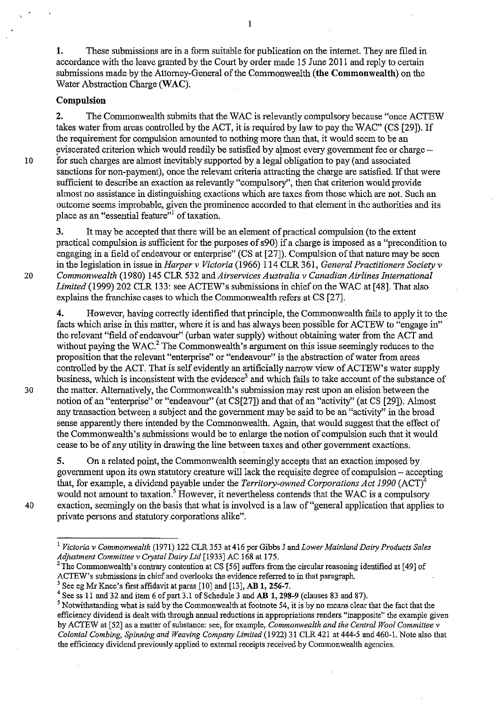1. These submissions are in a form suitable for publication on the intemet. They are filed in accordance with the leave granted by the Court by order made 15 June 2011 and reply to certain submissions made by the Attorney-General of the Commonwealth (the Commonwealth) on the Water Abstraction Charge (WAC).

### Compulsion

2. The Commonwealth submits that the WAC is relevantly compulsory because "once ACTEW" takes water from areas controlled by the ACT, it is required by law to pay the WAC" (CS [29]). If the requirement for compulsion amounted to nothing more than that, it would seem to be an eviscerated criterion which would readily be satisfied by almost every government fee or charge -10 for such charges are almost inevitably supported by a legal obligation to pay (and associated sanctions for non-payment), once the relevant criteria attracting the charge are satisfied. If that were sufficient to describe an exaction as relevantly "compulsory", then that criterion would provide almost no assistance in distinguishing exactions which are taxes from those which are not. Such an outcome seems improbable, given the prominence accorded to that element in the authorities and its place as an "essential feature"<sup>1</sup> of taxation.

3. It may be accepted that there will be an element of practical compulsion (to the extent practical compulsion is sufficient for the purposes of s90) if a charge is imposed as a "precondition to engaging in a field of endeavour or enterprise" (CS at [27]). Compulsion of that nature may be seen in the legislation in issue in *Harper* v *Victoria* (1966) 114 CLR 361, *General Practitioners Society* v *20 Commonwealth* (1980) 145 CLR 532 and *Airservices Australia* v *Canadian Airlines International Limited* (1999) 202 CLR 133: see ACTEW's submissions in chief on the WAC at [48]. That also explains the franchise cases to which the Commonwealth refers at CS [27].

4. However, having correctly identified that principle, the Commonwealth fails to apply it to the facts which arise in this matter, where it is and has always been possible for ACTEW to "engage in" the relevant "field of endeavour" (urban water supply) without obtaining water from the ACT and without paying the WAC.<sup>2</sup> The Commonwealth's argument on this issue seemingly reduces to the proposition that the relevant "enterprise" or "endeavour" is the abstraction of water from areas controlled by the ACT. That is self evidently an artificially narrow view of ACTEW's water supply business, which is inconsistent with the evidence<sup>3</sup> and which fails to take account of the substance of 30 the matter. Alternatively, the Commonwealth's submission may rest upon an elision between the notion of an "enterprise" or "endeavour" (at CS[27]) and that of an "activity" (at CS [29]). Almost any transaction between a subject and the government may be said to be an "activity" in the broad sense apparently there intended by the Commonwealth. Again, that would suggest that the effect of the Commonwealth's submissions would be to enlarge the notion of compulsion such that it would cease to be of any utility in drawing the line between taxes and other government exactions.

5. On a related point, the Commonwealth seemingly accepts that an exaction imposed by government upon its own statutory creature will lack the requisite degree of compulsion - accepting that, for example, a dividend payable under the *Territory-owned Corporations Act 1990* (ACT)4 would not amount to taxation.<sup>5</sup> However, it nevertheless contends that the WAC is a compulsory 40 exaction, seemingly on the basis that what is involved is a law of "general application that applies to private persons and statutory.corporations alike".

1

<sup>1</sup>*Victoria* v *Commonwealth* (1971) 122 CLR 353 at416 per Gibbs J and *Lower Mainland Dairy Products Sales Adjustment Committee* v *Crystal Dairy Ltd* [1933] AC 168 at 175.

<sup>&</sup>lt;sup>2</sup>The Commonwealth's contrary contention at CS [56] suffers from the circular reasoning identified at [49] of ACTEW's submissions in chief and overlooks the evidence referred to in that paragraph.<br><sup>3</sup> See eg Mr Knee's first affidavit at paras [10] and [13], **AB 1, 256-7**.

<sup>&</sup>lt;sup>4</sup> See ss 11 and 32 and item 6 of part 3.1 of Schedule 3 and AB 1, 298-9 (clauses 83 and 87).

<sup>5</sup> Notwithstanding what is said by the Commonwealth at footnote 54, it is by no means clear that the fact that the efficiency dividend is dealt with through annual reductions in appropriations renders "inapposite" the example given by ACTEW at [52] as a matter of substance: see, for example, *Commonwealth and the Central Wool Committee* v *Colonial Combing, Spinning and Weaving Company Limited* (1922) 31 CLR 421 at 444-5 and 460-\. Note also that the efficiency dividend previously applied to external receipts received by Commonwealth agencies.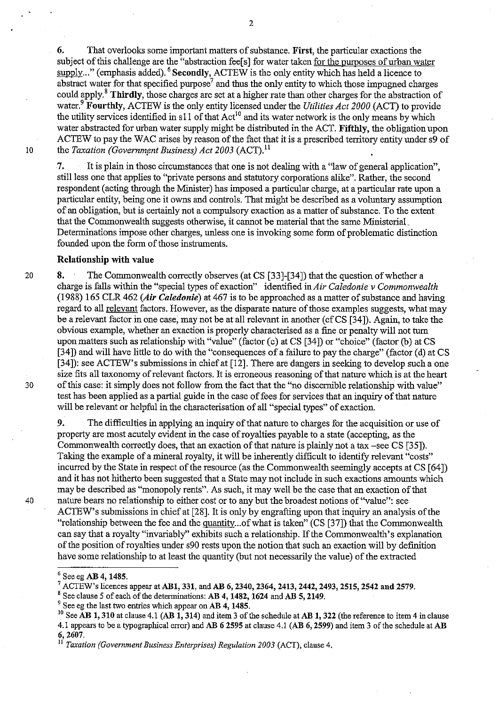6. That overlooks some important matters of substance. First, the particular exactions the subject of this challenge are the "abstraction feels] for water taken for the purposes of urban water supply..." (emphasis added). <sup>6</sup> Secondly, ACTEW is the only entity which has held a licence to abstract water for that specified purpose<sup>7</sup> and thus the only entity to which those impugned charges could apply.<sup>8</sup> Thirdly, those charges are set at a higher rate than other charges for the abstraction of water.<sup>9</sup> Fourthly, ACTEW is the only entity licensed under the *Utilities Act 2000* (ACT) to provide the utility services identified in s11 of that  $\text{Act}^{10}$  and its water network is the only means by which water abstracted for urban water supply might be distributed in the ACT. Fifthly, the obligation upon ACTEW to pay the WAC arises by reason of the fact that it is a prescribed territory entity under  $\overline{s}9$  of 10 the *Taxation (Government Business) Act 2003* (ACT).<sup>11</sup>

7. It is plain in those circumstances that one is not dealing with a "law of general application", still less one that applies to "private persons and statutory corporations alike". Rather, the second respondent (acting through the Minister) has imposed a particular charge, at a particular rate upon a particular entity, being one it owns and controls. That rnight be described as a voluntary assumption of an obligation, but is certainly not a compulsory exaction as a matter of substance. To the extent that the Commonwealth suggests otherwise, it cannot be material that the same Ministerial .. Detenninations impose other charges, unless one is invoking some form of problematic distinction founded upon the form of those instruments.

#### Relationship with value

20 8. The Commonwealth correctly observes (at CS [33]-[34]) that the question of whether a charge is falls within the "special types of exaction" identified *inAir Caledonie v Commonwealth*  (1988) 165 CLR 462 *(Air Caledonie)* at 467 is to be approached as a matter of substance and having regard to all relevant factors. However, as the disparate nature of those examples suggests, what may be a relevant factor in one case, may not be atall relevant in another (cfCS [34]). Again, to take the obvious example, whether an exaction is properly characterised as a fine or penalty will not turn upon matters such as relationship with "value" (factor (c) at CS [34]) or "choice" (factor (b) at CS [34]) and will have little to do with the "consequences of a failure to pay the charge" (factor (d) at CS [34]): see ACTEW's submissions in chief at [12]. There are dangers in seeking to develop such a one size fits all taxonomy of relevant factors. It is erroneous reasoning of that nature which is at the heart 30 of this case: it simply does not follow from the fact that the "no discernible relationship with value" test has been applied as a partial guide in the case of fees for services that an inquiry of that nature will be relevant or helpful in the characterisation of all "special types" of exaction.

9. The difficulties in applying an inquiry of that nature to charges for the acquisition or use of property are most acutely evident in the case of royalties payable to a state (accepting, as the Commonwealth correctly does, that an exaction of that nature is plainly not a tax -see CS [35]). Taking the example of a mineral royalty, it will be inherently difficult to identify relevant "costs" incurred by the State in respect of the resource (as the Commonwealth seemingly accepts at CS [64]) and it has not hitherto been suggested that a State may not include in such exactions amounts which may be described as "monopoly rents". As such, it may well be the case that an exaction of that 40 nature bears no relationship to either cost or to any but the broadest notions of "value": see ACTEW's submissions in chief at [28]. It is only by engrafting upon that inquiry an analysis of the "relationship between the fee and the quantity... of what is taken" (CS [37]) that the Commonwealth can say that a royalty "invariably" exhibits such a relationship. If the Commonwealth's explanation of the position of royalties under s90 rests upon the notion that such an exaction will by definition have some relationship to at least the quantity (but not necessarily the value) of the extracted

 $6$  See eg AB 4, 1485.

 $7$  ACTEW's licences appear at AB1, 331, and AB 6, 2340, 2364, 2413, 2442, 2493, 2515, 2542 and 2579.

 $8$  See clause 5 of each of the determinations: AB 4, 1482, 1624 and AB 5, 2149.

<sup>&</sup>lt;sup>9</sup> See eg the last two entries which appear on AB 4, 1485.

<sup>&</sup>lt;sup>10</sup> See AB 1, 310 at clause 4.1 (AB  $1, 314$ ) and item 3 of the schedule at AB 1, 322 (the reference to item 4 in clause 4.1 appears to be a typographical error) and AB 6 2595 at clause 4.1 (AB 6,2599) and item 3 of the schedule at AB 6,2607.

<sup>11</sup> *Taxation (Government Business Enterprises) Regulation 2003* (ACT), clause 4.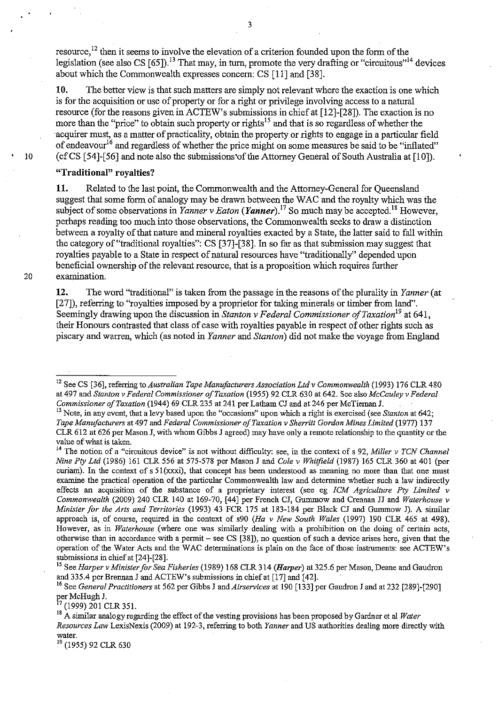resource,<sup>12</sup> then it seems to involve the elevation of a criterion founded upon the form of the legislation (see also CS  $[65]$ ).<sup>13</sup> That may, in turn, promote the very drafting or "circuitous"<sup>14</sup> devices about which the Commonwealth expresses concern: CS [II] and [38].

10. The better view is that such matters are simply not relevant where the exaction is one which is for the acquisition or use of property or for a right or privilege involving access to a natural resource (for the reasons given in ACTEW's submissions in chief at [12]-[28]). The exaction is no more than the "price" to obtain such property or rights<sup>15</sup> and that is so regardless of whether the acquirer must, as a matter of practicality, obtain the property or rights to engage in a particular field of endeavour<sup>16</sup> and regardless of whether the price might on some measures be said to be "inflated" 10 (cf CS [54]-[56] and note also the submissions'of the Attorney General of South Australia at [10]).

#### "Traditional" royalties?

11. Related to the last point, the Commonwealth and the Attorney-General for Queensland suggest that some form of analogy may be drawn between the WAC and the royalty which was the subject of some observations in *Yanner v Eaton* (*Yanner*).<sup>17</sup> So much may be accepted.<sup>18</sup> However, perhaps reading too much into those observations, the Commonwealth seeks to draw a distinction between a royalty of that nature and mineral royalties exacted by a State, the latter said to fall within the category of "traditional royalties": CS [37]-[38]. In so far as that submission may suggest that royalties payable to a State in respect of natural resources have "traditionally" depended upon beneficial ownership of the relevant resource, that is a proposition which requires further 20 examination.

12. The word "traditional" is taken from the passage in the reasons of the plurality in *Yanner* (at [27]), referring to "royalties imposed by a proprietor for taking minerals or timber from land". Seemingly drawing upon the discussion in *Stanton v Federal Commissioner of Taxation*<sup>19</sup> at 641, their Honours contrasted that class of case with royalties payable in respect of other rights such as piscary and warren, which (as noted in *Yanner* and *Stanton)* did not make the voyage from England

17 (1999) 201 CLR 351.

19 (1955) 92 CLR 630

<sup>12</sup> See CS [36], referring to *Australian Tape Manufacturers Association Ltd* v *Commonwealth* (1993) 176 CLR 480 at 497 and *Stanton* v *Federal Commissioner of Taxation* (1955) 92 CLR 630 at 642. See also *McCauley* v *Federal Commissioner of Taxation* (1944) 69 CLR 235 at 241 per Latham CJ and at 246 per McTiernan J.

<sup>&</sup>lt;sup>13</sup> Note, in any event, that a levy based upon the "occasions" upon which a right is exercised (see *Stanton* at 642; *Tape Manufacturers* at 497 and *Federal Commissioner of Taxation* v *Sherritt Gordon Mines Limited* (1977) 137 CLR 612 at 626 per Mason J, with whom Gibbs J agreed) may have only a remote relationship to the quantity or the value of what is taken.

<sup>&</sup>lt;sup>14</sup> The notion of a "circuitous device" is not without difficulty: see, in the context of s 92, *Miller v TCN Channel Nine Ply Ltd* (1986) 161 CLR 556 at 575-578 per Mason J and *Cole* v *Whiifield* (1987) 165 CLR 360 at 401 (per curiam). In the context of s 51(xxxi), that concept has been understood as meaning no more than that one must examine the practical operation of the particular Commonwealth law and determine whether such a law indirectly effects an acquisition of the substance of a proprietary interest (see eg *fCM Agriculture Ply Limited* v *Commonwealth* (2009) 240 CLR 140 at 169-70, [44] per French CJ, Gummow and Crennan JJ and *Waterhouse v Minister for the Arts and Territories* (1993) 43 FCR 175 at 183-184 per Black CJ and Gummow J). A similar approach is, of course, required in the context of s90 *(Ha* v *New South Wales* (1997) 190 CLR 465 at 498). However, as in *Waterhouse* (where one was similarly dealing with a prohibition on the doing of certain acts, otherwise than in accordance with a permit - see CS [38]), no question of such a device arises here, given that the operation of the Water Acts and the WAC detenninations is plain on the face of those instruments: see ACTEW's submissions in chief at [24]-[28].

<sup>15</sup> See *Harper* v *Minister for Sea Fisheries* (1989) 168 CLR 314 *(Harper)* at 325.6 per Mason, Deane and Gaudron and 335.4 per Brennan J and ACTEW's submissions in chief at [17] and [42]. .

<sup>16</sup> See *General Practitioners* at 562 per Gibbs J and *Airservices* at 190 [133] per Gaudron J and at 232 [289]-[290] per McHugh J.

<sup>18</sup> A similar analogy regarding the effect of the vesting provisions has been proposed by Gardner et al *Water Resources Law* LexisNexis (2009) at 192-3, referring to both *Yanner* and US authorities dealing more directly with **water.**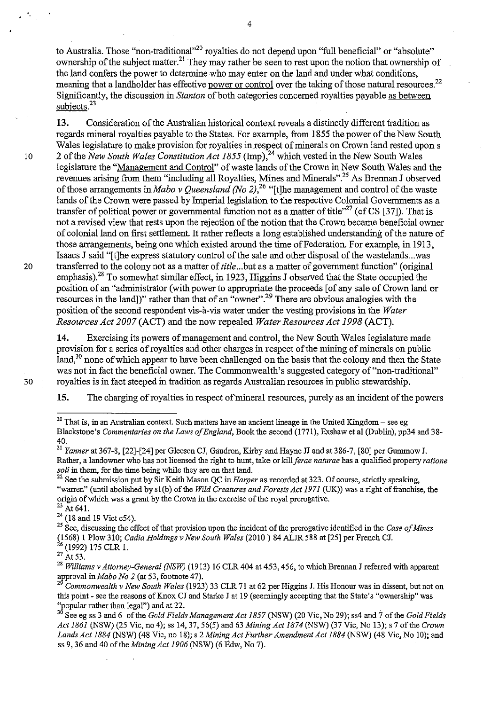to Australia. Those "non-traditional"<sup>20</sup> royalties do not depend upon "full beneficial" or "absolute" ownership of the subject matter.<sup>21</sup> They may rather be seen to rest upon the notion that ownership of the land confers the power to determine who may enter on the land and under what conditions, meaning that a landholder has effective power or control over the taking of those natural resources.<sup>22</sup> Significantly, the discussion in *Stanton* of both categories concerned royalties payable as between subjects.<sup>23</sup>

**13.** Consideration of the Australian historical context reveals a distinctly different tradition as regards mineral royalties payable to the States. For example, from 1855 the power of the New South Wales legislature to make provision for royalties in respect of minerals on Crown land rested upon s 10 2 of the *New South Wales Constitution Act 1855* (Imp),<sup>24</sup> which vested in the New South Wales legislature the "Management and Control" of waste lands of the Crown in New South Wales and the revenues arising from them "including all Royalties, Mines and Minerals".<sup>25</sup> As Brennan J observed of those arrangements in *Mabo* v *Queensland (No* 2),26 "[t]he management and control of the waste lands of the Crown were passed by Imperial legislation to the respective Colonial Governments as a transfer of political power or governmental function not as a matter of title<sup> $,27$ </sup> (cf CS [37]). That is not a revised view that rests upon the rejection of the notion that the Crown became beneficial owner of colonial land on first settlement. It rather reflects a long established understanding of the nature of those arrangements, being one which existed around the time of Federation. For example, in 19l3, Isaacs J said "[t]he express statutory control of the sale and other disposal of the wastelands ... was 20 transferred to the colony not as a matter of *title ... but* as a matter of government function" (original emphasis).<sup>28</sup> To somewhat similar effect, in 1923, Higgins J observed that the State occupied the position of an "administrator (with power to appropriate the proceeds [of any sale of Crown land or resources in the land])" rather than that of an "owner".<sup>29</sup> There are obvious analogies with the position of the second respondent vis-à-vis water under the vesting provisions in the *Water Resources Act 2007* (ACT) and the now repealed *Water Resources Act* 1998 (ACT).

**14.** Exercising its powers of management and control, the New South Wales legislature made provision for a series of royalties and other charges in respect of the mining of minerals on public land.<sup>30</sup> none of which appear to have been challenged on the basis that the colony and then the State was not in fact the beneficial owner. The Commonwealth's suggested category of "non-traditional" 30 royalties is in fact steeped in tradition as regards Australian resources in public stewardship.

**15.** The charging of royalties in respect of mineral resources, purely as an incident of the powers

"

4

<sup>&</sup>lt;sup>20</sup> That is, in an Australian context. Such matters have an ancient lineage in the United Kingdom – see eg Blackstone's *Commentaries on the Laws of England,* Book the second (1771), Exshaw et al (Dublin), pp34 and 38- 40.

<sup>&</sup>lt;sup>21</sup> Yanner at 367-8, [22]-[24] per Gleeson CJ, Gaudron, Kirby and Hayne JJ and at 386-7, [80] per Gummow J. Rather, a landowner who has not licensed the right to hunt, take or *kiIIferae naturae* has a qualified property *ratione soli* in them, *for* the time being while they are on that land.

<sup>22</sup> See the submission put by Sir Keith Mason QC in *Harper* as recorded at 323. Of course, strictly speaking, "warren" (until abolished by sl(b) of the *Wild Creatures and Forests Act 1971* (UK)) was a right of franchise, the origin of which was a grant by the Crown in the exercise of the royal prerogative.

 $^{23}$  At 641.

 $^{24}$  (18 and 19 Vict c54).

<sup>25</sup> See, discussing the effect of that provision upon the incident of the prerogative identified in the *Case of Mines*  (1568) I Plow3IO; *Cadia Holdings* v *New South Wales* (2010) 84 ALJR 588 at [25] per French CJ. <sup>26</sup> (1992) 175 CLR 1.

 $^{27}$  At 53.

<sup>28</sup>*Williams* v *Attorney-General (NSW)* (1913) 16 CLR 404 at 453, 456, to which Brennan J referred with apparent approval in *Mabo No* 2 (at 53, footnote 47).

*<sup>29</sup> Commonwealth* v *New South Wales* (1923) 33 CLR 71 at 62 per Higgins J. His Honour was in dissent, but not on this point - see the reasons of Knox CJ and Starke J at 19 (seemingly accepting that the State's "ownership" was 'yopular rather than legal") and at 22.

<sup>&</sup>lt;sup>30</sup> See eg ss 3 and 6 of the *Gold Fields Management Act 1857* (NSW) (20 Vic, No 29); ss4 and 7 of the *Gold Fields Act* 1861 (NSW) (25 Vie, no 4); ss 14,37,56(5) and 63 *Mining Act* 1874 (NSW) (37 Vie, No 13); s 7 of the *Crown Lands Act* 1884 (NSW) (48 Vie, no 18); s 2 *Mining Act Further Amendment Act* 1884 (NSW) (48 Vie, No 10); and ss 9, 36 and 40 of the *Mining Act 1906* (NSW) (6 Edw, No 7).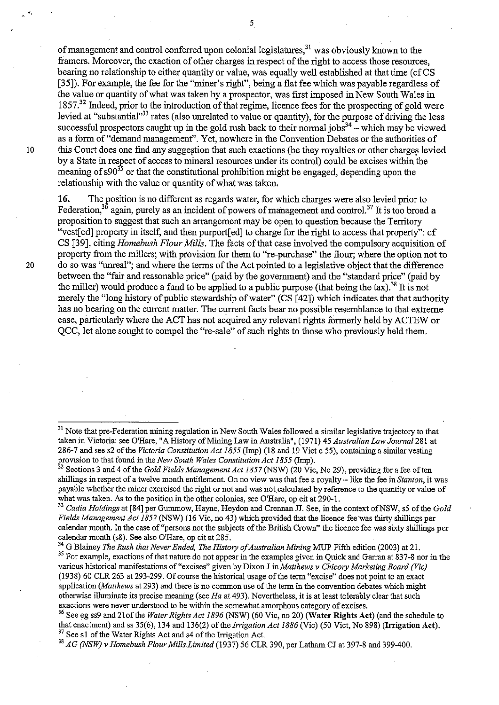of management and control conferred upon colonial legislatures,<sup>31</sup> was obviously known to the framers. Moreover, the exaction of other charges in respect of the right to access those resources, bearing no relationship to either quantity or value, was equally well established at that time (cf CS [35]). For example, the fee for the "miner's right", being a flat fee which was payable regardless of the value or quantity of what was taken by a prospector, was first imposed in New South Wales in 1857.32 Indeed, prior to the introduction of that regime, licence fees for the prospecting of gold were levied at "substantial"<sup>33</sup> rates (also unrelated to value or quantity), for the purpose of driving the less successful prospectors caught up in the gold rush back to their normal jobs<sup>34</sup> – which may be viewed as a form of "demand management". Yet, nowhere in the Convention Debates or the authorities of 10 this Court does one find any suggestion that such exactions (be they royalties or other charges levied by a State in respect of access to mineral resources under its control) could be excises within the meaning of  $s90^{35}$  or that the constitutional prohibition might be engaged, depending upon the relationship with the value or quantity of what was taken.

**16.** The position is no different as regards water, for which charges were also levied prior to Federation,<sup>36</sup> again, purely as an incident of powers of management and control.<sup>37</sup> It is too broad a proposition to suggest that such an arrangement may be open to question because the Territory "vest[ed] property in itself, and then purport[ed] to charge for the right to access that property": cf CS [39], citing *Homebush Flour Mills.* The facts of that case involved the compulsory acquisition of property from the millers; with provision for them to "re-purchase" the flour; where the option not to 20 do so was "umeal"; and where the terms of the Act pointed to a legislative object that the difference between the "fair and reasonable price" (paid by the government) and the "standard price" (paid by the miller) would produce a fund to be applied to a public purpose (that being the tax).<sup>38</sup> It is not merely the "long history of public stewardship of water" (CS [42]) which indicates that that authority has no bearing on the current matter. The current facts bear no possible resemblance to that extreme case, particularly where the ACT has not acquired any relevant rights formerly held by ACTEW or QCC, let alone sought to compel the "re-sale" of such rights to those who previously held them.

<sup>34</sup> G Blainey *The Rush that Never Ended, The History of Australian Mining* MUP Fifth edition (2003) at 21.

<sup>35</sup> For example, exactions of that nature do not appear in the examples given in Quick and Garran at 837-8 nor in the various historical manifestations of "excises" given by Dixon J in *Matthews* v *Chicory Marketing Board (Vic)*  (1938) 60 CLR 263 at 293-299. Of course the historical usage of the term "excise" does not point to an exact application *(Matthews* at 293) and there is no common use of the term in the convention debates which might otherwise illuminate its precise meaning (see *Ha* at 493). Nevertheless, it is at least tolerably clear that such exactions were never understood to be within the somewhat amorphous category of excises.

<sup>36</sup> See eg ss9 and 21of the *Water Rights Act 1896* (NSW) (60 Vic, no 20) (Water Rights Act) (and the schedule to that enactment) and ss 35(6), 134 and 136(2) of the *Irrigation Act* 1886 (Vie) (50 Vict, No 898) (Irrigation Act). <sup>37</sup> See s1 of the Water Rights Act and s4 of the Irrigation Act.

38 *AG (NSW)* v *Homebush Flour Mills Limited* (1937) 56 CLR 390, per Latham CJ at 397-8 and 399-400.

<sup>&</sup>lt;sup>31</sup> Note that pre-Federation mining regulation in New South Wales followed a similar legislative trajectory to that taken in Victoria: see OHare, "A History of Mining Law in Australia", (1971) 45 *Australian Law Journal* 281 at 286-7 and see s2 of the *Victoria Constitution Act 1855* (Imp) (18 and 19 Vict c 55), containing a similar vesting provision to that found in the *New South Wales Constitution Act* 1855 (Imp).

<sup>&</sup>lt;sup>32</sup> Sections 3 and 4 of the *Gold Fields Management Act 1857* (NSW) (20 Vic, No 29), providing for a fee of ten shillings in respect of a twelve month entitlement. On no view was that fee a royalty -- like the fee in *Stanton*, it was payable whether the miner exercised the right or not and was not calculated by reference to the quantity or value of what was taken. As to the position in the other colonies, see O'Hare, op cit at 290-1.

<sup>&</sup>lt;sup>33</sup> Cadia Holdings at [84] per Gummow, Hayne, Heydon and Crennan JJ. See, in the context of NSW, s5 of the *Gold Fields Management Act* 1852 (NSW) (16 Vic, no 43) which provided that the licence fee'was thirty shillings per calendar month. In the case of "persons not the subjects of the British Crown" the licence fee was sixty shillings per calendar month (s8). See also O'Hare, op cit at 285.